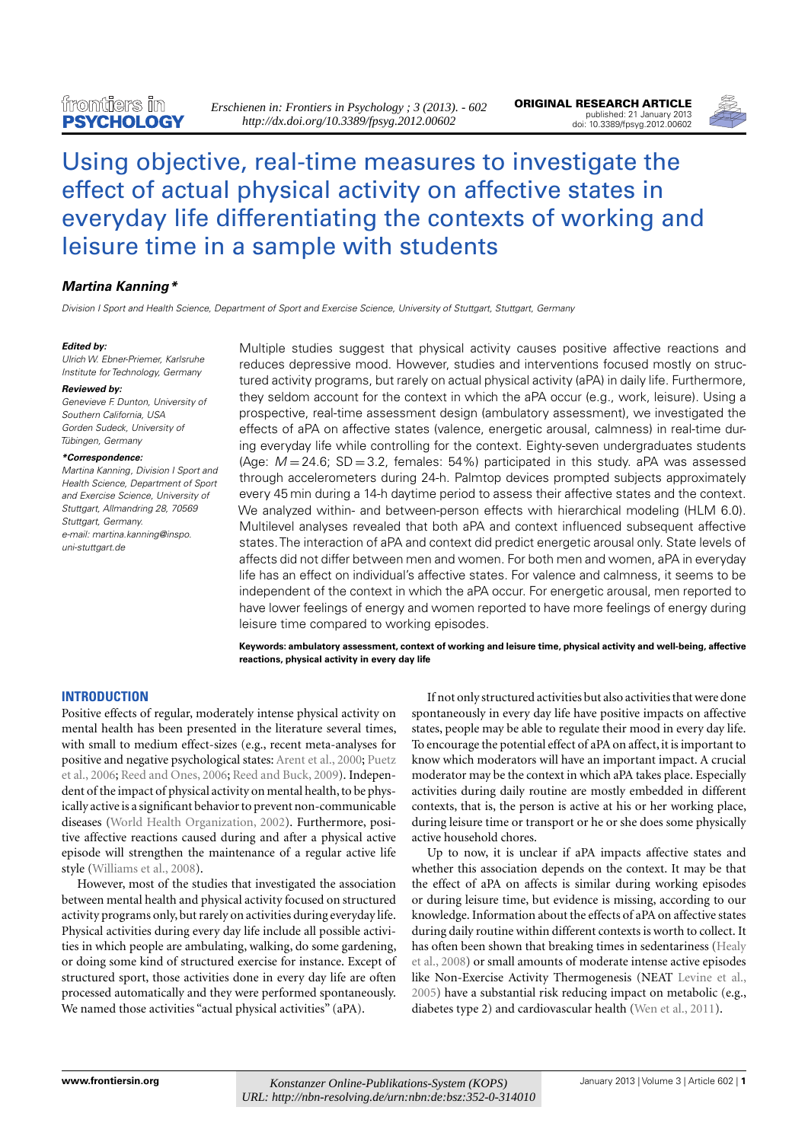

# [Using objective, real-time measures to investigate the](http://www.frontiersin.org/Movement_Science_and_Sport_Psychology/10.3389/fpsyg.2012.00602/abstract) [effect of actual physical activity on affective states in](http://www.frontiersin.org/Movement_Science_and_Sport_Psychology/10.3389/fpsyg.2012.00602/abstract) [everyday life differentiating the contexts of working and](http://www.frontiersin.org/Movement_Science_and_Sport_Psychology/10.3389/fpsyg.2012.00602/abstract) [leisure time in a sample with students](http://www.frontiersin.org/Movement_Science_and_Sport_Psychology/10.3389/fpsyg.2012.00602/abstract)

# **[Martina Kanning\\*](http://www.frontiersin.org/Community/WhosWhoActivity.aspx?sname=MartinaKanning&UID=38114)**

Division I Sport and Health Science, Department of Sport and Exercise Science, University of Stuttgart, Stuttgart, Germany

#### **Edited by:**

Ulrich W. Ebner-Priemer, Karlsruhe Institute for Technology, Germany

#### **Reviewed by:**

Genevieve F. Dunton, University of Southern California, USA Gorden Sudeck, University of Tübingen, Germany

#### **\*Correspondence:**

Martina Kanning, Division I Sport and Health Science, Department of Sport and Exercise Science, University of Stuttgart, Allmandring 28, 70569 Stuttgart, Germany. e-mail: [martina.kanning@inspo.](mailto:martina.kanning@inspo.uni-stuttgart.de) [uni-stuttgart.de](mailto:martina.kanning@inspo.uni-stuttgart.de)

Multiple studies suggest that physical activity causes positive affective reactions and reduces depressive mood. However, studies and interventions focused mostly on structured activity programs, but rarely on actual physical activity (aPA) in daily life. Furthermore, they seldom account for the context in which the aPA occur (e.g., work, leisure). Using a prospective, real-time assessment design (ambulatory assessment), we investigated the effects of aPA on affective states (valence, energetic arousal, calmness) in real-time during everyday life while controlling for the context. Eighty-seven undergraduates students (Age:  $M = 24.6$ ; SD = 3.2, females: 54%) participated in this study. aPA was assessed through accelerometers during 24-h. Palmtop devices prompted subjects approximately every 45 min during a 14-h daytime period to assess their affective states and the context. We analyzed within- and between-person effects with hierarchical modeling (HLM 6.0). Multilevel analyses revealed that both aPA and context influenced subsequent affective states.The interaction of aPA and context did predict energetic arousal only. State levels of affects did not differ between men and women. For both men and women, aPA in everyday life has an effect on individual's affective states. For valence and calmness, it seems to be independent of the context in which the aPA occur. For energetic arousal, men reported to have lower feelings of energy and women reported to have more feelings of energy during leisure time compared to working episodes.

**Keywords: ambulatory assessment, context of working and leisure time, physical activity and well-being, affective reactions, physical activity in every day life**

## **INTRODUCTION**

Positive effects of regular, moderately intense physical activity on mental health has been presented in the literature several times, with small to medium effect-sizes (e.g., recent meta-analyses for positive and negative psychological states: [Arent et al., 2000;](#page-4-0) [Puetz](#page-5-0) [et al., 2006;](#page-5-0) [Reed and Ones, 2006;](#page-5-1) [Reed and Buck, 2009\)](#page-5-2). Independent of the impact of physical activity on mental health, to be physically active is a significant behavior to prevent non-communicable diseases [\(World Health Organization, 2002\)](#page-5-3). Furthermore, positive affective reactions caused during and after a physical active episode will strengthen the maintenance of a regular active life style [\(Williams et al., 2008\)](#page-5-4).

However, most of the studies that investigated the association between mental health and physical activity focused on structured activity programs only, but rarely on activities during everyday life. Physical activities during every day life include all possible activities in which people are ambulating, walking, do some gardening, or doing some kind of structured exercise for instance. Except of structured sport, those activities done in every day life are often processed automatically and they were performed spontaneously. We named those activities "actual physical activities" (aPA).

If not only structured activities but also activities that were done spontaneously in every day life have positive impacts on affective states, people may be able to regulate their mood in every day life. To encourage the potential effect of aPA on affect, it is important to know which moderators will have an important impact. A crucial moderator may be the context in which aPA takes place. Especially activities during daily routine are mostly embedded in different contexts, that is, the person is active at his or her working place, during leisure time or transport or he or she does some physically active household chores.

Up to now, it is unclear if aPA impacts affective states and whether this association depends on the context. It may be that the effect of aPA on affects is similar during working episodes or during leisure time, but evidence is missing, according to our knowledge. Information about the effects of aPA on affective states during daily routine within different contexts is worth to collect. It has often been shown that breaking times in sedentariness [\(Healy](#page-4-1) [et al., 2008\)](#page-4-1) or small amounts of moderate intense active episodes like Non-Exercise Activity Thermogenesis (NEAT [Levine et al.,](#page-5-5) [2005\)](#page-5-5) have a substantial risk reducing impact on metabolic (e.g., diabetes type 2) and cardiovascular health [\(Wen et al., 2011\)](#page-5-6).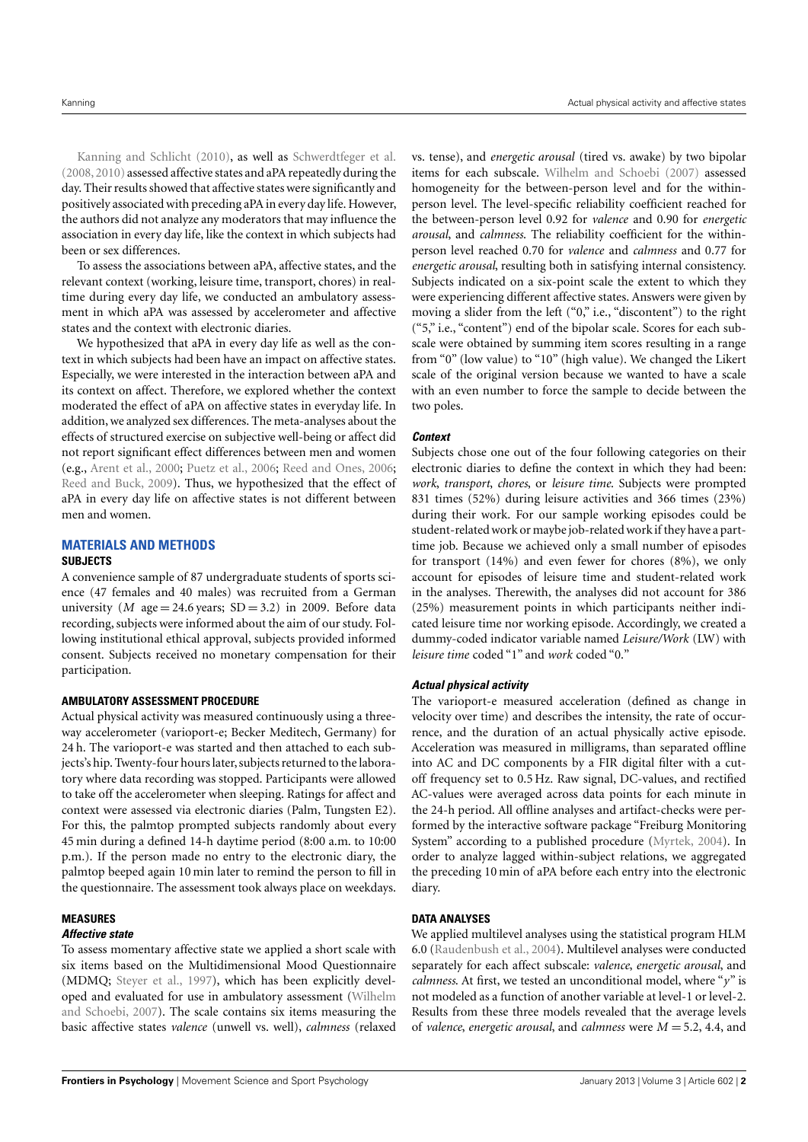[Kanning and Schlicht](#page-5-7) [\(2010\)](#page-5-7), as well as [Schwerdtfeger et al.](#page-5-8) [\(2008,](#page-5-8) [2010\)](#page-5-9) assessed affective states and aPA repeatedly during the day. Their results showed that affective states were significantly and positively associated with preceding aPA in every day life. However, the authors did not analyze any moderators that may influence the association in every day life, like the context in which subjects had been or sex differences.

To assess the associations between aPA, affective states, and the relevant context (working, leisure time, transport, chores) in realtime during every day life, we conducted an ambulatory assessment in which aPA was assessed by accelerometer and affective states and the context with electronic diaries.

We hypothesized that aPA in every day life as well as the context in which subjects had been have an impact on affective states. Especially, we were interested in the interaction between aPA and its context on affect. Therefore, we explored whether the context moderated the effect of aPA on affective states in everyday life. In addition, we analyzed sex differences. The meta-analyses about the effects of structured exercise on subjective well-being or affect did not report significant effect differences between men and women (e.g., [Arent et al.,](#page-4-0) [2000;](#page-4-0) [Puetz et al.,](#page-5-0) [2006;](#page-5-0) [Reed and Ones,](#page-5-1) [2006;](#page-5-1) [Reed and Buck,](#page-5-2) [2009\)](#page-5-2). Thus, we hypothesized that the effect of aPA in every day life on affective states is not different between men and women.

# **MATERIALS AND METHODS SUBJECTS**

A convenience sample of 87 undergraduate students of sports science (47 females and 40 males) was recruited from a German university (*M* age = 24.6 years;  $SD = 3.2$ ) in 2009. Before data recording, subjects were informed about the aim of our study. Following institutional ethical approval, subjects provided informed consent. Subjects received no monetary compensation for their participation.

#### **AMBULATORY ASSESSMENT PROCEDURE**

Actual physical activity was measured continuously using a threeway accelerometer (varioport-e; Becker Meditech, Germany) for 24 h. The varioport-e was started and then attached to each subjects's hip. Twenty-four hours later, subjects returned to the laboratory where data recording was stopped. Participants were allowed to take off the accelerometer when sleeping. Ratings for affect and context were assessed via electronic diaries (Palm, Tungsten E2). For this, the palmtop prompted subjects randomly about every 45 min during a defined 14-h daytime period (8:00 a.m. to 10:00 p.m.). If the person made no entry to the electronic diary, the palmtop beeped again 10 min later to remind the person to fill in the questionnaire. The assessment took always place on weekdays.

#### **MEASURES**

#### **Affective state**

To assess momentary affective state we applied a short scale with six items based on the Multidimensional Mood Questionnaire (MDMQ; [Steyer et al.,](#page-5-10) [1997\)](#page-5-10), which has been explicitly developed and evaluated for use in ambulatory assessment [\(Wilhelm](#page-5-11) [and Schoebi,](#page-5-11) [2007\)](#page-5-11). The scale contains six items measuring the basic affective states *valence* (unwell vs. well), *calmness* (relaxed

vs. tense), and *energetic arousal* (tired vs. awake) by two bipolar items for each subscale. [Wilhelm and Schoebi](#page-5-11) [\(2007\)](#page-5-11) assessed homogeneity for the between-person level and for the withinperson level. The level-specific reliability coefficient reached for the between-person level 0.92 for *valence* and 0.90 for *energetic arousal*, and *calmness*. The reliability coefficient for the withinperson level reached 0.70 for *valence* and *calmness* and 0.77 for *energetic arousal*, resulting both in satisfying internal consistency. Subjects indicated on a six-point scale the extent to which they were experiencing different affective states. Answers were given by moving a slider from the left ("0," i.e., "discontent") to the right ("5," i.e., "content") end of the bipolar scale. Scores for each subscale were obtained by summing item scores resulting in a range from "0" (low value) to "10" (high value). We changed the Likert scale of the original version because we wanted to have a scale with an even number to force the sample to decide between the two poles.

## **Context**

Subjects chose one out of the four following categories on their electronic diaries to define the context in which they had been: *work*, *transport*, *chores*, or *leisure time*. Subjects were prompted 831 times (52%) during leisure activities and 366 times (23%) during their work. For our sample working episodes could be student-related work or maybe job-related work if they have a parttime job. Because we achieved only a small number of episodes for transport (14%) and even fewer for chores (8%), we only account for episodes of leisure time and student-related work in the analyses. Therewith, the analyses did not account for 386 (25%) measurement points in which participants neither indicated leisure time nor working episode. Accordingly, we created a dummy-coded indicator variable named *Leisure/Work* (LW) with *leisure time* coded "1" and *work* coded "0."

## **Actual physical activity**

The varioport-e measured acceleration (defined as change in velocity over time) and describes the intensity, the rate of occurrence, and the duration of an actual physically active episode. Acceleration was measured in milligrams, than separated offline into AC and DC components by a FIR digital filter with a cutoff frequency set to 0.5 Hz. Raw signal, DC-values, and rectified AC-values were averaged across data points for each minute in the 24-h period. All offline analyses and artifact-checks were performed by the interactive software package "Freiburg Monitoring System" according to a published procedure [\(Myrtek,](#page-5-12) [2004\)](#page-5-12). In order to analyze lagged within-subject relations, we aggregated the preceding 10 min of aPA before each entry into the electronic diary.

## **DATA ANALYSES**

We applied multilevel analyses using the statistical program HLM 6.0 [\(Raudenbush et al.,](#page-5-13) [2004\)](#page-5-13). Multilevel analyses were conducted separately for each affect subscale: *valence*, *energetic arousal*, and *calmness*. At first, we tested an unconditional model, where "*y*" is not modeled as a function of another variable at level-1 or level-2. Results from these three models revealed that the average levels of *valence*, *energetic arousal*, and *calmness* were *M* = 5.2, 4.4, and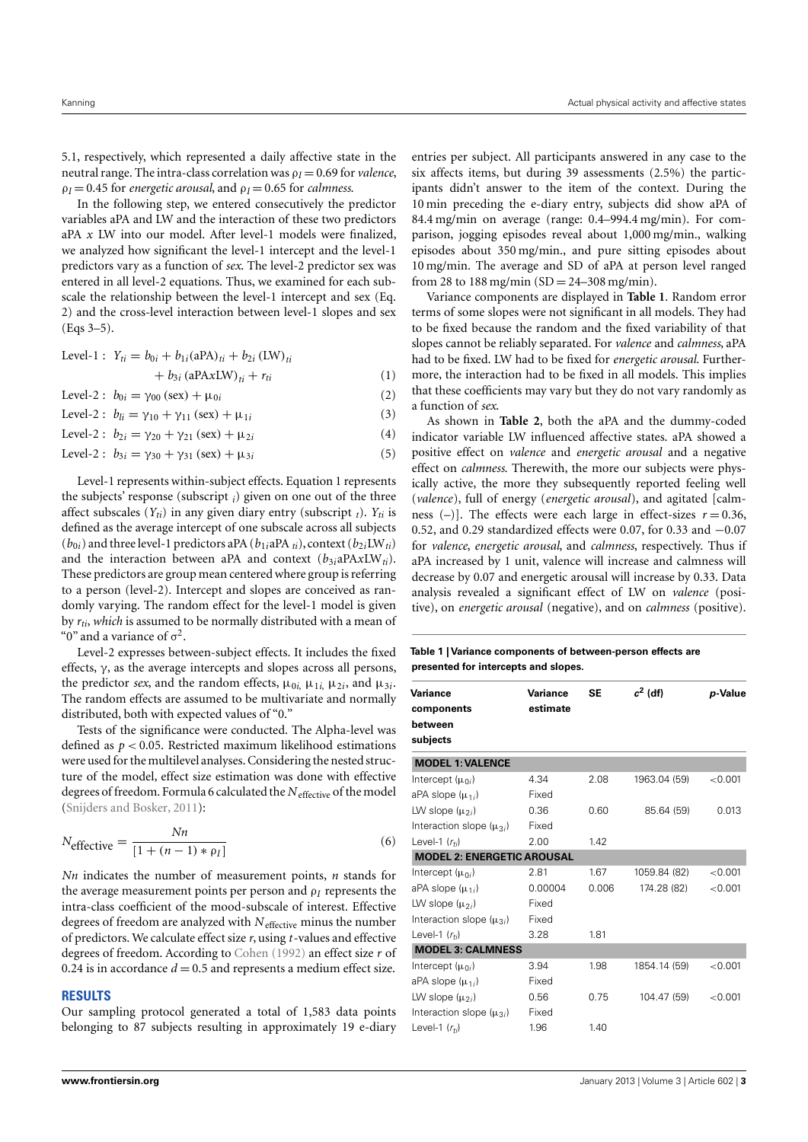5.1, respectively, which represented a daily affective state in the neutral range. The intra-class correlation was ρ*<sup>I</sup>* = 0.69 for *valence*,  $\rho_I = 0.45$  for *energetic arousal*, and  $\rho_I = 0.65$  for *calmness*.

In the following step, we entered consecutively the predictor variables aPA and LW and the interaction of these two predictors aPA *x* LW into our model. After level-1 models were finalized, we analyzed how significant the level-1 intercept and the level-1 predictors vary as a function of *sex*. The level-2 predictor sex was entered in all level-2 equations. Thus, we examined for each subscale the relationship between the level-1 intercept and sex (Eq. 2) and the cross-level interaction between level-1 slopes and sex (Eqs 3–5).

Level-1: 
$$
Y_{ti} = b_{0i} + b_{1i} (aPA)_{ti} + b_{2i} (LW)_{ti}
$$
  
+  $b_{3i} (aPAxLW)_{ti} + r_{ti}$  (1)  
Level-2:  $b_{0i} = \gamma_{00} (sex) + \mu_{0i}$  (2)

Level-2 :  $b_{li} = \gamma_{10} + \gamma_{11}$  (sex) +  $\mu_{1i}$  (3)

Level-2 :  $b_{2i} = \gamma_{20} + \gamma_{21} (\text{sex}) + \mu_{2i}$  (4)

Level-2 :  $b_{3i} = \gamma_{30} + \gamma_{31} (\text{sex}) + \mu_{3i}$  (5)

Level-1 represents within-subject effects. Equation 1 represents the subjects' response (subscript *<sup>i</sup>*) given on one out of the three affect subscales  $(Y_{ti})$  in any given diary entry (subscript  $_t$ ).  $Y_{ti}$  is defined as the average intercept of one subscale across all subjects  $(b_{0i})$  and three level-1 predictors aPA  $(b_{1i}$ aPA  $_{ti})$ , context  $(b_{2i}LW_{ti})$ and the interaction between aPA and context  $(b_{3i}aPAxLW_{ti})$ . These predictors are group mean centered where group is referring to a person (level-2). Intercept and slopes are conceived as randomly varying. The random effect for the level-1 model is given by *rti*, *which* is assumed to be normally distributed with a mean of "0" and a variance of  $\sigma^2$ .

Level-2 expresses between-subject effects. It includes the fixed effects,  $\gamma$ , as the average intercepts and slopes across all persons, the predictor *sex*, and the random effects,  $\mu_{0i}$ ,  $\mu_{1i}$ ,  $\mu_{2i}$ , and  $\mu_{3i}$ . The random effects are assumed to be multivariate and normally distributed, both with expected values of "0."

Tests of the significance were conducted. The Alpha-level was defined as *p* < 0.05. Restricted maximum likelihood estimations were used for the multilevel analyses. Considering the nested structure of the model, effect size estimation was done with effective degrees of freedom. Formula 6 calculated the N<sub>effective</sub> of the model [\(Snijders and Bosker,](#page-5-14) [2011\)](#page-5-14):

$$
N_{\text{effective}} = \frac{Nn}{[1 + (n-1) * \rho_I]}
$$
\n(6)

*Nn* indicates the number of measurement points, *n* stands for the average measurement points per person and ρ*<sup>I</sup>* represents the intra-class coefficient of the mood-subscale of interest. Effective degrees of freedom are analyzed with *N*effective minus the number of predictors. We calculate effect size *r*, using *t*-values and effective degrees of freedom. According to [Cohen](#page-4-2) [\(1992\)](#page-4-2) an effect size *r* of 0.24 is in accordance  $d = 0.5$  and represents a medium effect size.

#### **RESULTS**

Our sampling protocol generated a total of 1,583 data points belonging to 87 subjects resulting in approximately 19 e-diary entries per subject. All participants answered in any case to the six affects items, but during 39 assessments (2.5%) the participants didn't answer to the item of the context. During the 10 min preceding the e-diary entry, subjects did show aPA of 84.4 mg/min on average (range: 0.4–994.4 mg/min). For comparison, jogging episodes reveal about 1,000 mg/min., walking episodes about 350 mg/min., and pure sitting episodes about 10 mg/min. The average and SD of aPA at person level ranged from 28 to 188 mg/min  $SD = 24 - 308$  mg/min).

Variance components are displayed in **[Table 1](#page-2-0)**. Random error terms of some slopes were not significant in all models. They had to be fixed because the random and the fixed variability of that slopes cannot be reliably separated. For *valence* and *calmness*, aPA had to be fixed. LW had to be fixed for *energetic arousal*. Furthermore, the interaction had to be fixed in all models. This implies that these coefficients may vary but they do not vary randomly as a function of *sex*.

As shown in **[Table 2](#page-3-0)**, both the aPA and the dummy-coded indicator variable LW influenced affective states. aPA showed a positive effect on *valence* and *energetic arousal* and a negative effect on *calmness*. Therewith, the more our subjects were physically active, the more they subsequently reported feeling well (*valence*), full of energy (*energetic arousal*), and agitated [calmness  $(-)$ ]. The effects were each large in effect-sizes  $r = 0.36$ , 0.52, and 0.29 standardized effects were 0.07, for 0.33 and −0.07 for *valence*, *energetic arousal*, and *calmness*, respectively. Thus if aPA increased by 1 unit, valence will increase and calmness will decrease by 0.07 and energetic arousal will increase by 0.33. Data analysis revealed a significant effect of LW on *valence* (positive), on *energetic arousal* (negative), and on *calmness* (positive).

#### <span id="page-2-0"></span>**Table 1 | Variance components of between-person effects are presented for intercepts and slopes.**

| Variance                          | <b>Variance</b> | <b>SE</b> | $c^2$ (df)   | p-Value |
|-----------------------------------|-----------------|-----------|--------------|---------|
| components                        | estimate        |           |              |         |
| between                           |                 |           |              |         |
| subjects                          |                 |           |              |         |
| <b>MODEL 1: VALENCE</b>           |                 |           |              |         |
| Intercept $(\mu_{0i})$            | 4.34            | 2.08      | 1963.04 (59) | < 0.001 |
| aPA slope $(\mu_{1i})$            | Fixed           |           |              |         |
| LW slope $(\mu_{2i})$             | 0.36            | 0.60      | 85.64 (59)   | 0.013   |
| Interaction slope $(\mu_{3i})$    | Fixed           |           |              |         |
| Level-1 $(r_{ti})$                | 2.00            | 1.42      |              |         |
| <b>MODEL 2: ENERGETIC AROUSAL</b> |                 |           |              |         |
| Intercept $(\mu_{0i})$            | 2.81            | 1.67      | 1059.84 (82) | < 0.001 |
| aPA slope $(\mu_{1i})$            | 0.00004         | 0.006     | 174.28 (82)  | < 0.001 |
| LW slope $(\mu_{2i})$             | Fixed           |           |              |         |
| Interaction slope $(\mu_{3i})$    | Fixed           |           |              |         |
| Level-1 $(r_{ti})$                | 3.28            | 1.81      |              |         |
| <b>MODEL 3: CALMNESS</b>          |                 |           |              |         |
| Intercept $(\mu_{0i})$            | 3.94            | 1.98      | 1854.14 (59) | < 0.001 |
| aPA slope $(\mu_{1i})$            | Fixed           |           |              |         |
| LW slope $(\mu_{2i})$             | 0.56            | 0.75      | 104.47 (59)  | < 0.001 |
| Interaction slope $(\mu_{3i})$    | Fixed           |           |              |         |
| Level-1 $(r_{ti})$                | 1.96            | 1.40      |              |         |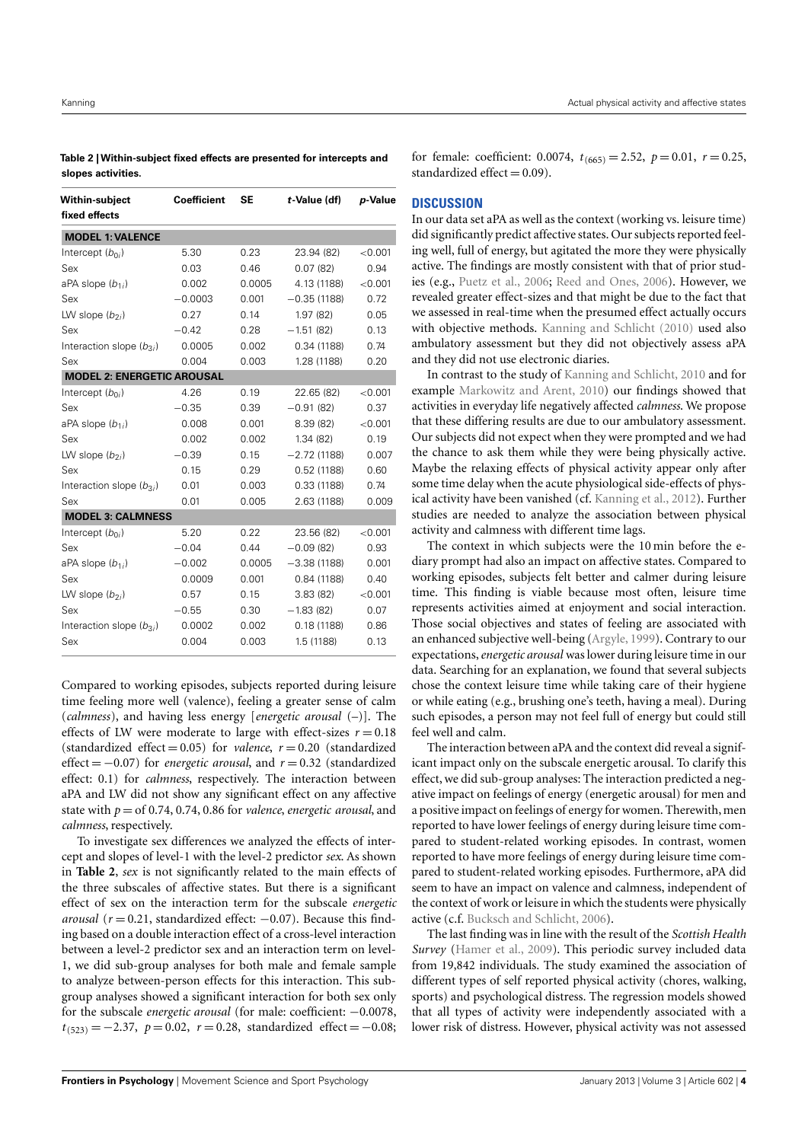<span id="page-3-0"></span>

| Table 2   Within-subject fixed effects are presented for intercepts and |  |
|-------------------------------------------------------------------------|--|
| slopes activities.                                                      |  |

| <b>Within-subject</b><br>fixed effects | <b>Coefficient</b> | <b>SE</b> | t-Value (df)  | p-Value |
|----------------------------------------|--------------------|-----------|---------------|---------|
| <b>MODEL 1: VALENCE</b>                |                    |           |               |         |
| Intercept $(b_{0i})$                   | 5.30               | 0.23      | 23.94 (82)    | < 0.001 |
| Sex                                    | 0.03               | 0.46      | 0.07(82)      | 0.94    |
| aPA slope $(b_{1i})$                   | 0.002              | 0.0005    | 4.13 (1188)   | < 0.001 |
| Sex                                    | $-0.0003$          | 0.001     | $-0.35(1188)$ | 0.72    |
| LW slope $(b_{2i})$                    | 0.27               | 0.14      | 1.97 (82)     | 0.05    |
| Sex                                    | $-0.42$            | 0.28      | $-1.51(82)$   | 0.13    |
| Interaction slope $(b_{3i})$           | 0.0005             | 0.002     | 0.34(1188)    | 0.74    |
| Sex                                    | 0.004              | 0.003     | 1.28 (1188)   | 0.20    |
| <b>MODEL 2: ENERGETIC AROUSAL</b>      |                    |           |               |         |
| Intercept $(b_{0i})$                   | 4.26               | 0.19      | 22.65 (82)    | < 0.001 |
| Sex                                    | $-0.35$            | 0.39      | $-0.91(82)$   | 0.37    |
| aPA slope $(b_{1i})$                   | 0.008              | 0.001     | 8.39 (82)     | < 0.001 |
| Sex                                    | 0.002              | 0.002     | 1.34(82)      | 0.19    |
| LW slope $(b_{2i})$                    | $-0.39$            | 0.15      | $-2.72(1188)$ | 0.007   |
| Sex                                    | 0.15               | 0.29      | 0.52(1188)    | 0.60    |
| Interaction slope $(b_{3i})$           | 0.01               | 0.003     | 0.33(1188)    | 0.74    |
| Sex                                    | 0.01               | 0.005     | 2.63 (1188)   | 0.009   |
| <b>MODEL 3: CALMNESS</b>               |                    |           |               |         |
| Intercept $(b_{0i})$                   | 5.20               | 0.22      | 23.56 (82)    | < 0.001 |
| Sex                                    | $-0.04$            | 0.44      | $-0.09(82)$   | 0.93    |
| aPA slope $(b_{1i})$                   | $-0.002$           | 0.0005    | $-3.38(1188)$ | 0.001   |
| Sex                                    | 0.0009             | 0.001     | 0.84(1188)    | 0.40    |
| LW slope $(b_{2i})$                    | 0.57               | 0.15      | 3.83(82)      | < 0.001 |
| Sex                                    | $-0.55$            | 0.30      | $-1.83(82)$   | 0.07    |
| Interaction slope $(b_{3i})$           | 0.0002             | 0.002     | 0.18(1188)    | 0.86    |
| Sex                                    | 0.004              | 0.003     | 1.5 (1188)    | 0.13    |

Compared to working episodes, subjects reported during leisure time feeling more well (valence), feeling a greater sense of calm (*calmness*), and having less energy [*energetic arousal* (–)]. The effects of LW were moderate to large with effect-sizes  $r = 0.18$ (standardized effect  $= 0.05$ ) for *valence*,  $r = 0.20$  (standardized effect = −0.07) for *energetic arousal*, and *r* = 0.32 (standardized effect: 0.1) for *calmness*, respectively. The interaction between aPA and LW did not show any significant effect on any affective state with  $p =$  of 0.74, 0.74, 0.86 for *valence*, *energetic arousal*, and *calmness*, respectively.

To investigate sex differences we analyzed the effects of intercept and slopes of level-1 with the level-2 predictor *sex*. As shown in **[Table 2](#page-3-0)**, *sex* is not significantly related to the main effects of the three subscales of affective states. But there is a significant effect of sex on the interaction term for the subscale *energetic arousal* ( $r = 0.21$ , standardized effect:  $-0.07$ ). Because this finding based on a double interaction effect of a cross-level interaction between a level-2 predictor sex and an interaction term on level-1, we did sub-group analyses for both male and female sample to analyze between-person effects for this interaction. This subgroup analyses showed a significant interaction for both sex only for the subscale *energetic arousal* (for male: coefficient: −0.0078,  $t_{(523)} = -2.37$ ,  $p = 0.02$ ,  $r = 0.28$ , standardized effect = -0.08;

### **DISCUSSION**

In our data set aPA as well as the context (working vs. leisure time) did significantly predict affective states. Our subjects reported feeling well, full of energy, but agitated the more they were physically active. The findings are mostly consistent with that of prior studies (e.g., [Puetz et al.,](#page-5-0) [2006;](#page-5-0) [Reed and Ones,](#page-5-1) [2006\)](#page-5-1). However, we revealed greater effect-sizes and that might be due to the fact that we assessed in real-time when the presumed effect actually occurs with objective methods. [Kanning and Schlicht](#page-5-7) [\(2010\)](#page-5-7) used also ambulatory assessment but they did not objectively assess aPA and they did not use electronic diaries.

In contrast to the study of [Kanning and Schlicht,](#page-5-7) [2010](#page-5-7) and for example [Markowitz and Arent,](#page-5-15) [2010\)](#page-5-15) our findings showed that activities in everyday life negatively affected *calmness*. We propose that these differing results are due to our ambulatory assessment. Our subjects did not expect when they were prompted and we had the chance to ask them while they were being physically active. Maybe the relaxing effects of physical activity appear only after some time delay when the acute physiological side-effects of physical activity have been vanished (cf. [Kanning et al.,](#page-5-16) [2012\)](#page-5-16). Further studies are needed to analyze the association between physical activity and calmness with different time lags.

The context in which subjects were the 10 min before the ediary prompt had also an impact on affective states. Compared to working episodes, subjects felt better and calmer during leisure time. This finding is viable because most often, leisure time represents activities aimed at enjoyment and social interaction. Those social objectives and states of feeling are associated with an enhanced subjective well-being [\(Argyle,](#page-4-3) [1999\)](#page-4-3). Contrary to our expectations,*energetic arousal* was lower during leisure time in our data. Searching for an explanation, we found that several subjects chose the context leisure time while taking care of their hygiene or while eating (e.g., brushing one's teeth, having a meal). During such episodes, a person may not feel full of energy but could still feel well and calm.

The interaction between aPA and the context did reveal a significant impact only on the subscale energetic arousal. To clarify this effect, we did sub-group analyses: The interaction predicted a negative impact on feelings of energy (energetic arousal) for men and a positive impact on feelings of energy for women. Therewith, men reported to have lower feelings of energy during leisure time compared to student-related working episodes. In contrast, women reported to have more feelings of energy during leisure time compared to student-related working episodes. Furthermore, aPA did seem to have an impact on valence and calmness, independent of the context of work or leisure in which the students were physically active (c.f. [Bucksch and Schlicht,](#page-4-4) [2006\)](#page-4-4).

The last finding was in line with the result of the *Scottish Health Survey* [\(Hamer et al.,](#page-4-5) [2009\)](#page-4-5). This periodic survey included data from 19,842 individuals. The study examined the association of different types of self reported physical activity (chores, walking, sports) and psychological distress. The regression models showed that all types of activity were independently associated with a lower risk of distress. However, physical activity was not assessed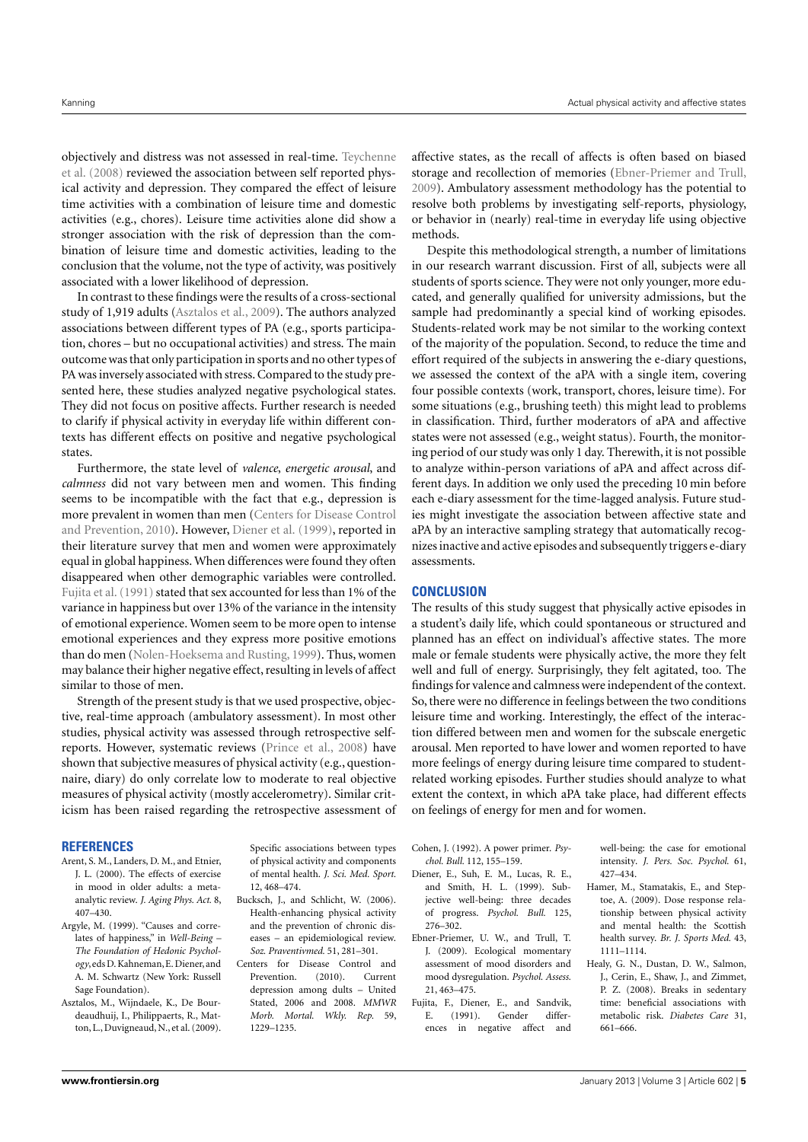objectively and distress was not assessed in real-time. [Teychenne](#page-5-17) [et al.](#page-5-17) [\(2008\)](#page-5-17) reviewed the association between self reported physical activity and depression. They compared the effect of leisure time activities with a combination of leisure time and domestic activities (e.g., chores). Leisure time activities alone did show a stronger association with the risk of depression than the combination of leisure time and domestic activities, leading to the conclusion that the volume, not the type of activity, was positively associated with a lower likelihood of depression.

In contrast to these findings were the results of a cross-sectional study of 1,919 adults [\(Asztalos et al.,](#page-4-6) [2009\)](#page-4-6). The authors analyzed associations between different types of PA (e.g., sports participation, chores – but no occupational activities) and stress. The main outcome was that only participation in sports and no other types of PA was inversely associated with stress. Compared to the study presented here, these studies analyzed negative psychological states. They did not focus on positive affects. Further research is needed to clarify if physical activity in everyday life within different contexts has different effects on positive and negative psychological states.

Furthermore, the state level of *valence*, *energetic arousal*, and *calmness* did not vary between men and women. This finding seems to be incompatible with the fact that e.g., depression is more prevalent in women than men [\(Centers for Disease Control](#page-4-7) [and Prevention,](#page-4-7) [2010\)](#page-4-7). However, [Diener et al.](#page-4-8) [\(1999\)](#page-4-8), reported in their literature survey that men and women were approximately equal in global happiness. When differences were found they often disappeared when other demographic variables were controlled. Fujita et al. (1991) stated that sex accounted for less than 1% of the variance in happiness but over 13% of the variance in the intensity of emotional experience. Women seem to be more open to intense emotional experiences and they express more positive emotions than do men [\(Nolen-Hoeksema and Rusting,](#page-5-18) [1999\)](#page-5-18). Thus, women may balance their higher negative effect, resulting in levels of affect similar to those of men.

Strength of the present study is that we used prospective, objective, real-time approach (ambulatory assessment). In most other studies, physical activity was assessed through retrospective selfreports. However, systematic reviews [\(Prince et al.,](#page-5-19) [2008\)](#page-5-19) have shown that subjective measures of physical activity (e.g., questionnaire, diary) do only correlate low to moderate to real objective measures of physical activity (mostly accelerometry). Similar criticism has been raised regarding the retrospective assessment of

#### **REFERENCES**

- <span id="page-4-0"></span>Arent, S. M., Landers, D. M., and Etnier, J. L. (2000). The effects of exercise in mood in older adults: a metaanalytic review. *J. Aging Phys. Act.* 8, 407–430.
- <span id="page-4-3"></span>Argyle, M. (1999). "Causes and correlates of happiness," in *Well-Being – The Foundation of Hedonic Psychology*, eds D. Kahneman, E. Diener, and A. M. Schwartz (New York: Russell Sage Foundation).
- <span id="page-4-6"></span>Asztalos, M., Wijndaele, K., De Bourdeaudhuij, I., Philippaerts, R., Matton, L., Duvigneaud, N., et al. (2009).

Specific associations between types of physical activity and components of mental health. *J. Sci. Med. Sport.* 12, 468–474.

- <span id="page-4-4"></span>Bucksch, J., and Schlicht, W. (2006). Health-enhancing physical activity and the prevention of chronic diseases – an epidemiological review. *Soz. Praventivmed.* 51, 281–301.
- <span id="page-4-7"></span>Centers for Disease Control and Prevention. (2010). Current depression among dults – United Stated, 2006 and 2008. *MMWR Morb. Mortal. Wkly. Rep.* 59, 1229–1235.

affective states, as the recall of affects is often based on biased storage and recollection of memories [\(Ebner-Priemer and Trull,](#page-4-10) [2009\)](#page-4-10). Ambulatory assessment methodology has the potential to resolve both problems by investigating self-reports, physiology, or behavior in (nearly) real-time in everyday life using objective methods.

Despite this methodological strength, a number of limitations in our research warrant discussion. First of all, subjects were all students of sports science. They were not only younger, more educated, and generally qualified for university admissions, but the sample had predominantly a special kind of working episodes. Students-related work may be not similar to the working context of the majority of the population. Second, to reduce the time and effort required of the subjects in answering the e-diary questions, we assessed the context of the aPA with a single item, covering four possible contexts (work, transport, chores, leisure time). For some situations (e.g., brushing teeth) this might lead to problems in classification. Third, further moderators of aPA and affective states were not assessed (e.g., weight status). Fourth, the monitoring period of our study was only 1 day. Therewith, it is not possible to analyze within-person variations of aPA and affect across different days. In addition we only used the preceding 10 min before each e-diary assessment for the time-lagged analysis. Future studies might investigate the association between affective state and aPA by an interactive sampling strategy that automatically recognizes inactive and active episodes and subsequently triggers e-diary assessments.

## **CONCLUSION**

The results of this study suggest that physically active episodes in a student's daily life, which could spontaneous or structured and planned has an effect on individual's affective states. The more male or female students were physically active, the more they felt well and full of energy. Surprisingly, they felt agitated, too. The findings for valence and calmness were independent of the context. So, there were no difference in feelings between the two conditions leisure time and working. Interestingly, the effect of the interaction differed between men and women for the subscale energetic arousal. Men reported to have lower and women reported to have more feelings of energy during leisure time compared to studentrelated working episodes. Further studies should analyze to what extent the context, in which aPA take place, had different effects on feelings of energy for men and for women.

<span id="page-4-2"></span>Cohen, J. (1992). A power primer. *Psychol. Bull.* 112, 155–159.

- <span id="page-4-8"></span>Diener, E., Suh, E. M., Lucas, R. E., and Smith, H. L. (1999). Subjective well-being: three decades of progress. *Psychol. Bull.* 125, 276–302.
- <span id="page-4-10"></span>Ebner-Priemer, U. W., and Trull, T. J. (2009). Ecological momentary assessment of mood disorders and mood dysregulation. *Psychol. Assess.* 21, 463–475.
- <span id="page-4-9"></span>Fujita, F., Diener, E., and Sandvik, E. (1991). Gender differences in negative affect and

well-being: the case for emotional intensity. *J. Pers. Soc. Psychol.* 61, 427–434.

- <span id="page-4-5"></span>Hamer, M., Stamatakis, E., and Steptoe, A. (2009). Dose response relationship between physical activity and mental health: the Scottish health survey. *Br. J. Sports Med.* 43, 1111–1114.
- <span id="page-4-1"></span>Healy, G. N., Dustan, D. W., Salmon, J., Cerin, E., Shaw, J., and Zimmet, P. Z. (2008). Breaks in sedentary time: beneficial associations with metabolic risk. *Diabetes Care* 31, 661–666.